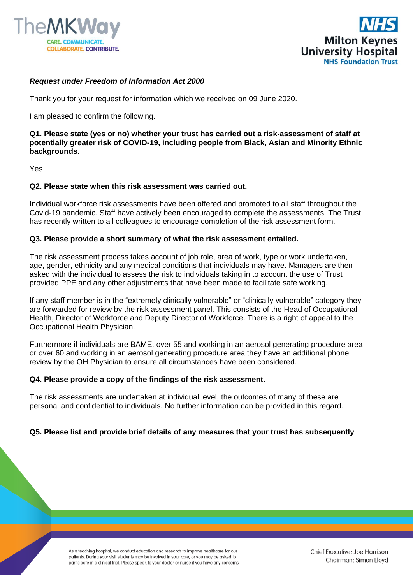



# *Request under Freedom of Information Act 2000*

Thank you for your request for information which we received on 09 June 2020.

I am pleased to confirm the following.

**Q1. Please state (yes or no) whether your trust has carried out a risk-assessment of staff at potentially greater risk of COVID-19, including people from Black, Asian and Minority Ethnic backgrounds.**

Yes

## **Q2. Please state when this risk assessment was carried out.**

Individual workforce risk assessments have been offered and promoted to all staff throughout the Covid-19 pandemic. Staff have actively been encouraged to complete the assessments. The Trust has recently written to all colleagues to encourage completion of the risk assessment form.

### **Q3. Please provide a short summary of what the risk assessment entailed.**

The risk assessment process takes account of job role, area of work, type or work undertaken, age, gender, ethnicity and any medical conditions that individuals may have. Managers are then asked with the individual to assess the risk to individuals taking in to account the use of Trust provided PPE and any other adjustments that have been made to facilitate safe working.

If any staff member is in the "extremely clinically vulnerable" or "clinically vulnerable" category they are forwarded for review by the risk assessment panel. This consists of the Head of Occupational Health, Director of Workforce and Deputy Director of Workforce. There is a right of appeal to the Occupational Health Physician.

Furthermore if individuals are BAME, over 55 and working in an aerosol generating procedure area or over 60 and working in an aerosol generating procedure area they have an additional phone review by the OH Physician to ensure all circumstances have been considered.

### **Q4. Please provide a copy of the findings of the risk assessment.**

The risk assessments are undertaken at individual level, the outcomes of many of these are personal and confidential to individuals. No further information can be provided in this regard.

### **Q5. Please list and provide brief details of any measures that your trust has subsequently**

As a teaching hospital, we conduct education and research to improve healthcare for our patients. During your visit students may be involved in your care, or you may be asked to participate in a clinical trial. Please speak to your doctor or nurse if you have any concerns.